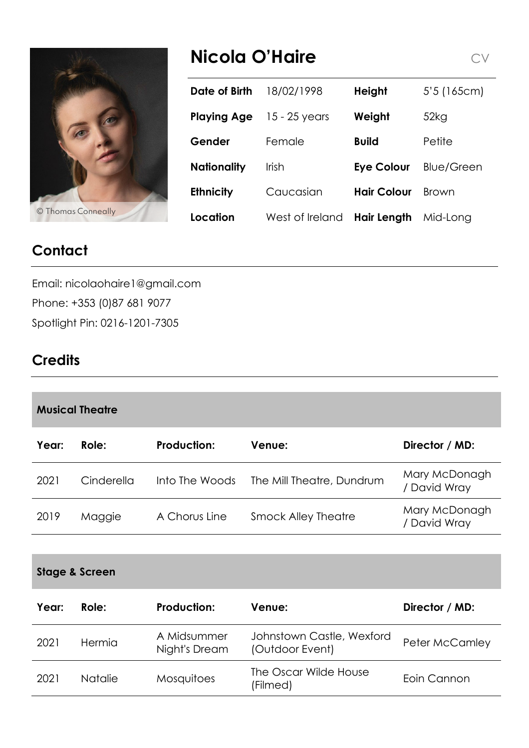

# **Nicola O'Haire**  $C$   $V$

|                    | Date of Birth      | 18/02/1998      | <b>Height</b>      | 5'5(165cm)        |
|--------------------|--------------------|-----------------|--------------------|-------------------|
|                    | <b>Playing Age</b> | 15 - 25 years   | Weight             | 52kg              |
|                    | Gender             | Female          | <b>Build</b>       | Petite            |
|                    | <b>Nationality</b> | <b>Irish</b>    | <b>Eye Colour</b>  | <b>Blue/Green</b> |
|                    | <b>Ethnicity</b>   | Caucasian       | <b>Hair Colour</b> | Brown             |
| © Thomas Conneally | Location           | West of Ireland | <b>Hair Length</b> | Mid-Long          |

# **Contact**

Email: nicolaohaire1@gmail.com Phone: +353 (0)87 681 9077 Spotlight Pin: 0216-1201-7305

# **Credits**

| <b>Musical Theatre</b> |            |                    |                            |                               |  |  |  |
|------------------------|------------|--------------------|----------------------------|-------------------------------|--|--|--|
| Year:                  | Role:      | <b>Production:</b> | Venue:                     | Director / MD:                |  |  |  |
| 2021                   | Cinderella | Into The Woods     | The Mill Theatre, Dundrum  | Mary McDonagh<br>/ David Wray |  |  |  |
| 2019                   | Maggie     | A Chorus Line      | <b>Smock Alley Theatre</b> | Mary McDonagh<br>/ David Wray |  |  |  |

#### **Stage & Screen**

| Year: | Role:          | <b>Production:</b>           | Venue:                                       | Director / MD:        |
|-------|----------------|------------------------------|----------------------------------------------|-----------------------|
| 2021  | Hermia         | A Midsummer<br>Night's Dream | Johnstown Castle, Wexford<br>(Outdoor Event) | <b>Peter McCamley</b> |
| 2021  | <b>Natalie</b> | <b>Mosquitoes</b>            | The Oscar Wilde House<br>(Filmed)            | Eoin Cannon           |